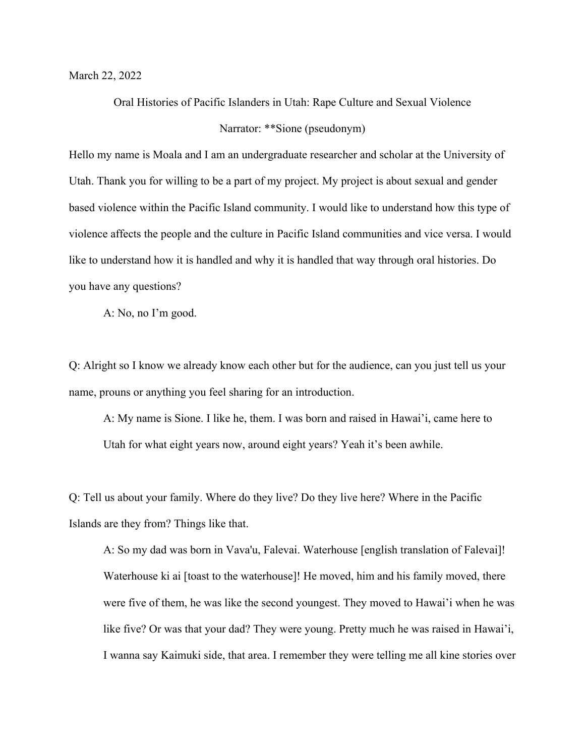March 22, 2022

Oral Histories of Pacific Islanders in Utah: Rape Culture and Sexual Violence Narrator: \*\*Sione (pseudonym)

Hello my name is Moala and I am an undergraduate researcher and scholar at the University of Utah. Thank you for willing to be a part of my project. My project is about sexual and gender based violence within the Pacific Island community. I would like to understand how this type of violence affects the people and the culture in Pacific Island communities and vice versa. I would like to understand how it is handled and why it is handled that way through oral histories. Do you have any questions?

A: No, no I'm good.

Q: Alright so I know we already know each other but for the audience, can you just tell us your name, prouns or anything you feel sharing for an introduction.

A: My name is Sione. I like he, them. I was born and raised in Hawai'i, came here to Utah for what eight years now, around eight years? Yeah it's been awhile.

Q: Tell us about your family. Where do they live? Do they live here? Where in the Pacific Islands are they from? Things like that.

A: So my dad was born in Vava'u, Falevai. Waterhouse [english translation of Falevai]! Waterhouse ki ai [toast to the waterhouse]! He moved, him and his family moved, there were five of them, he was like the second youngest. They moved to Hawai'i when he was like five? Or was that your dad? They were young. Pretty much he was raised in Hawai'i, I wanna say Kaimuki side, that area. I remember they were telling me all kine stories over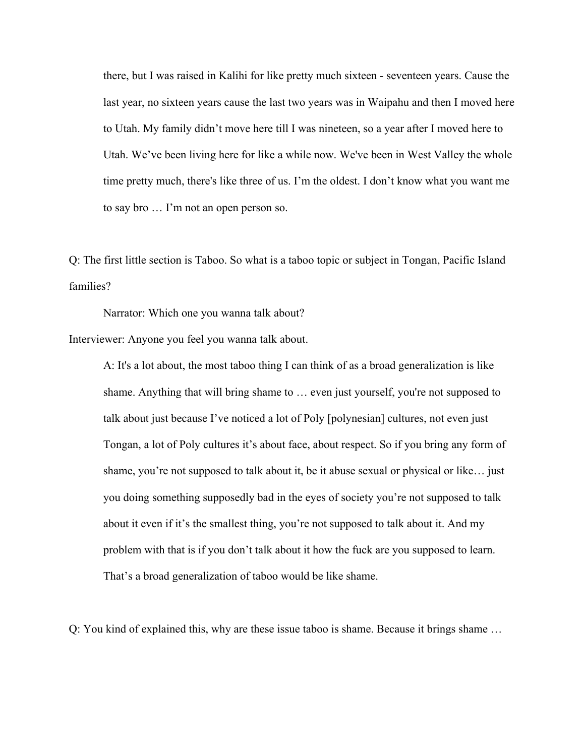there, but I was raised in Kalihi for like pretty much sixteen - seventeen years. Cause the last year, no sixteen years cause the last two years was in Waipahu and then I moved here to Utah. My family didn't move here till I was nineteen, so a year after I moved here to Utah. We've been living here for like a while now. We've been in West Valley the whole time pretty much, there's like three of us. I'm the oldest. I don't know what you want me to say bro … I'm not an open person so.

Q: The first little section is Taboo. So what is a taboo topic or subject in Tongan, Pacific Island families?

Narrator: Which one you wanna talk about?

Interviewer: Anyone you feel you wanna talk about.

A: It's a lot about, the most taboo thing I can think of as a broad generalization is like shame. Anything that will bring shame to … even just yourself, you're not supposed to talk about just because I've noticed a lot of Poly [polynesian] cultures, not even just Tongan, a lot of Poly cultures it's about face, about respect. So if you bring any form of shame, you're not supposed to talk about it, be it abuse sexual or physical or like… just you doing something supposedly bad in the eyes of society you're not supposed to talk about it even if it's the smallest thing, you're not supposed to talk about it. And my problem with that is if you don't talk about it how the fuck are you supposed to learn. That's a broad generalization of taboo would be like shame.

Q: You kind of explained this, why are these issue taboo is shame. Because it brings shame …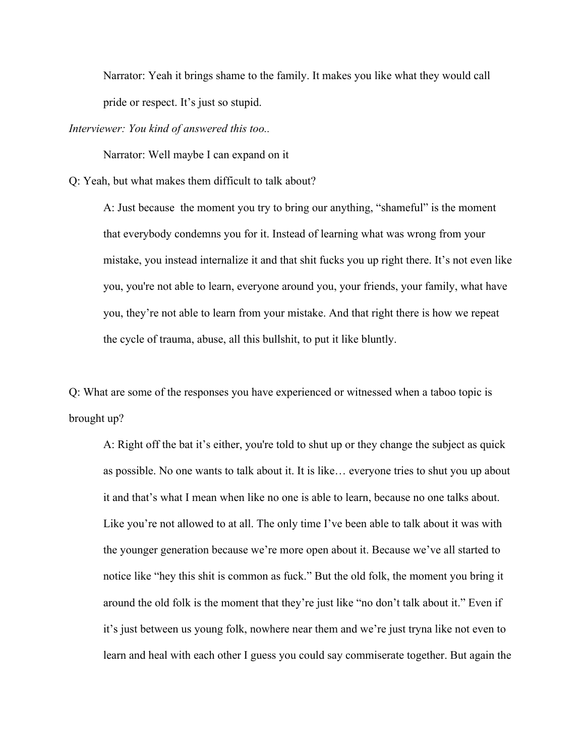Narrator: Yeah it brings shame to the family. It makes you like what they would call pride or respect. It's just so stupid.

*Interviewer: You kind of answered this too..*

Narrator: Well maybe I can expand on it

Q: Yeah, but what makes them difficult to talk about?

A: Just because the moment you try to bring our anything, "shameful" is the moment that everybody condemns you for it. Instead of learning what was wrong from your mistake, you instead internalize it and that shit fucks you up right there. It's not even like you, you're not able to learn, everyone around you, your friends, your family, what have you, they're not able to learn from your mistake. And that right there is how we repeat the cycle of trauma, abuse, all this bullshit, to put it like bluntly.

Q: What are some of the responses you have experienced or witnessed when a taboo topic is brought up?

A: Right off the bat it's either, you're told to shut up or they change the subject as quick as possible. No one wants to talk about it. It is like… everyone tries to shut you up about it and that's what I mean when like no one is able to learn, because no one talks about. Like you're not allowed to at all. The only time I've been able to talk about it was with the younger generation because we're more open about it. Because we've all started to notice like "hey this shit is common as fuck." But the old folk, the moment you bring it around the old folk is the moment that they're just like "no don't talk about it." Even if it's just between us young folk, nowhere near them and we're just tryna like not even to learn and heal with each other I guess you could say commiserate together. But again the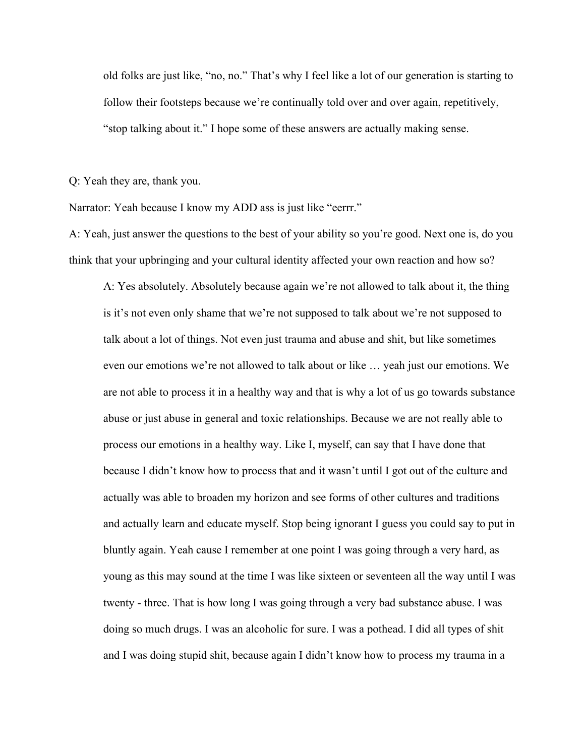old folks are just like, "no, no." That's why I feel like a lot of our generation is starting to follow their footsteps because we're continually told over and over again, repetitively, "stop talking about it." I hope some of these answers are actually making sense.

Q: Yeah they are, thank you.

Narrator: Yeah because I know my ADD ass is just like "eerrr."

A: Yeah, just answer the questions to the best of your ability so you're good. Next one is, do you think that your upbringing and your cultural identity affected your own reaction and how so?

A: Yes absolutely. Absolutely because again we're not allowed to talk about it, the thing is it's not even only shame that we're not supposed to talk about we're not supposed to talk about a lot of things. Not even just trauma and abuse and shit, but like sometimes even our emotions we're not allowed to talk about or like … yeah just our emotions. We are not able to process it in a healthy way and that is why a lot of us go towards substance abuse or just abuse in general and toxic relationships. Because we are not really able to process our emotions in a healthy way. Like I, myself, can say that I have done that because I didn't know how to process that and it wasn't until I got out of the culture and actually was able to broaden my horizon and see forms of other cultures and traditions and actually learn and educate myself. Stop being ignorant I guess you could say to put in bluntly again. Yeah cause I remember at one point I was going through a very hard, as young as this may sound at the time I was like sixteen or seventeen all the way until I was twenty - three. That is how long I was going through a very bad substance abuse. I was doing so much drugs. I was an alcoholic for sure. I was a pothead. I did all types of shit and I was doing stupid shit, because again I didn't know how to process my trauma in a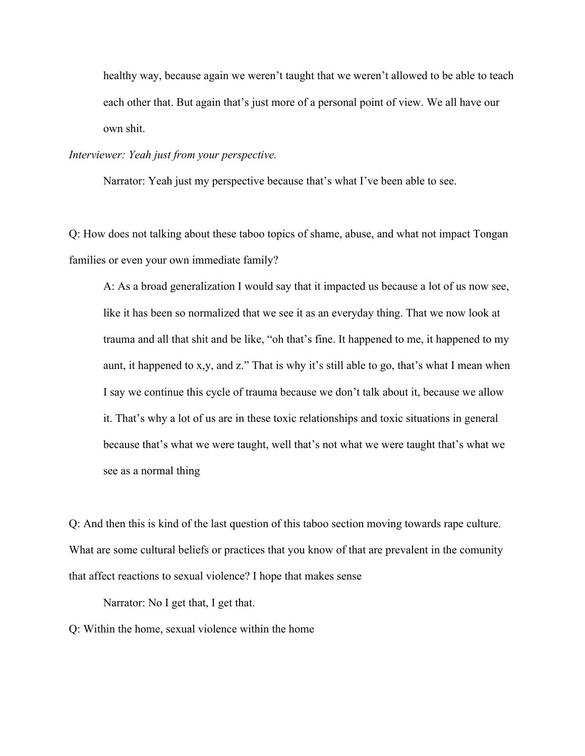healthy way, because again we weren't taught that we weren't allowed to be able to teach each other that. But again that's just more of a personal point of view. We all have our own shit.

## *Interviewer: Yeah just from your perspective.*

Narrator: Yeah just my perspective because that's what I've been able to see.

Q: How does not talking about these taboo topics of shame, abuse, and what not impact Tongan families or even your own immediate family?

A: As a broad generalization I would say that it impacted us because a lot of us now see, like it has been so normalized that we see it as an everyday thing. That we now look at trauma and all that shit and be like, "oh that's fine. It happened to me, it happened to my aunt, it happened to x,y, and z." That is why it's still able to go, that's what I mean when I say we continue this cycle of trauma because we don't talk about it, because we allow it. That's why a lot of us are in these toxic relationships and toxic situations in general because that's what we were taught, well that's not what we were taught that's what we see as a normal thing

Q: And then this is kind of the last question of this taboo section moving towards rape culture. What are some cultural beliefs or practices that you know of that are prevalent in the comunity that affect reactions to sexual violence? I hope that makes sense

Narrator: No I get that, I get that.

Q: Within the home, sexual violence within the home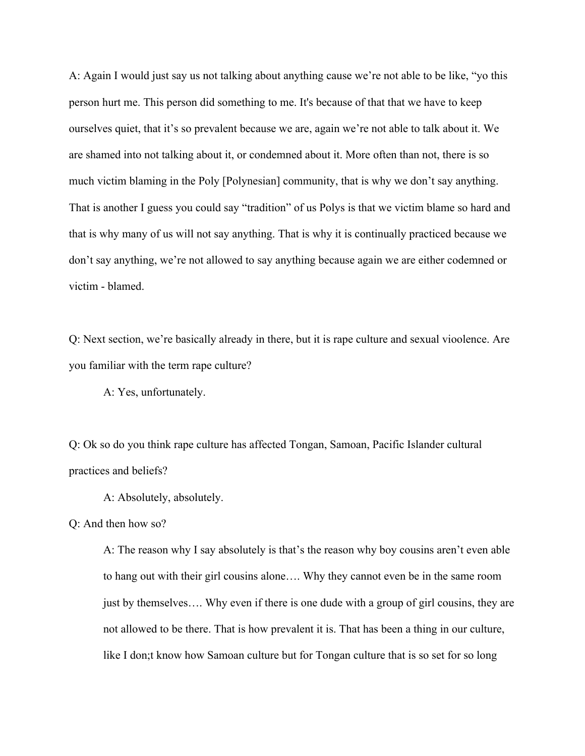A: Again I would just say us not talking about anything cause we're not able to be like, "yo this person hurt me. This person did something to me. It's because of that that we have to keep ourselves quiet, that it's so prevalent because we are, again we're not able to talk about it. We are shamed into not talking about it, or condemned about it. More often than not, there is so much victim blaming in the Poly [Polynesian] community, that is why we don't say anything. That is another I guess you could say "tradition" of us Polys is that we victim blame so hard and that is why many of us will not say anything. That is why it is continually practiced because we don't say anything, we're not allowed to say anything because again we are either codemned or victim - blamed.

Q: Next section, we're basically already in there, but it is rape culture and sexual vioolence. Are you familiar with the term rape culture?

A: Yes, unfortunately.

Q: Ok so do you think rape culture has affected Tongan, Samoan, Pacific Islander cultural practices and beliefs?

A: Absolutely, absolutely.

Q: And then how so?

A: The reason why I say absolutely is that's the reason why boy cousins aren't even able to hang out with their girl cousins alone…. Why they cannot even be in the same room just by themselves.... Why even if there is one dude with a group of girl cousins, they are not allowed to be there. That is how prevalent it is. That has been a thing in our culture, like I don;t know how Samoan culture but for Tongan culture that is so set for so long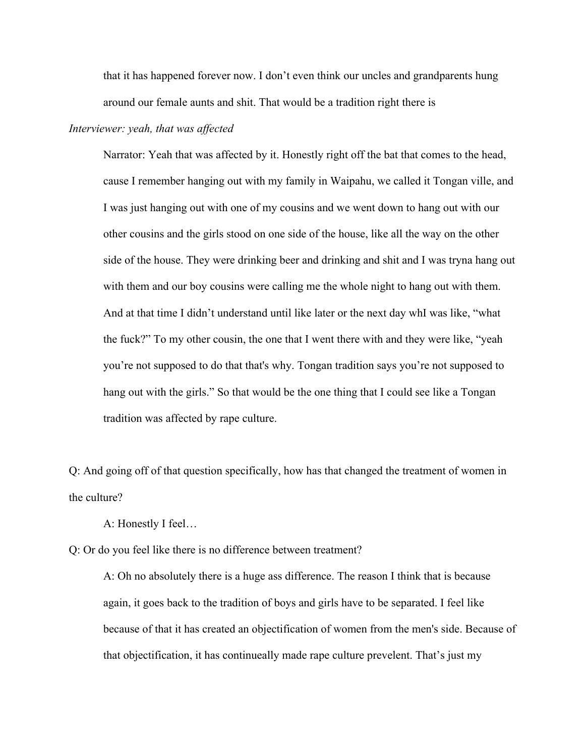that it has happened forever now. I don't even think our uncles and grandparents hung around our female aunts and shit. That would be a tradition right there is

# *Interviewer: yeah, that was affected*

Narrator: Yeah that was affected by it. Honestly right off the bat that comes to the head, cause I remember hanging out with my family in Waipahu, we called it Tongan ville, and I was just hanging out with one of my cousins and we went down to hang out with our other cousins and the girls stood on one side of the house, like all the way on the other side of the house. They were drinking beer and drinking and shit and I was tryna hang out with them and our boy cousins were calling me the whole night to hang out with them. And at that time I didn't understand until like later or the next day whI was like, "what the fuck?" To my other cousin, the one that I went there with and they were like, "yeah you're not supposed to do that that's why. Tongan tradition says you're not supposed to hang out with the girls." So that would be the one thing that I could see like a Tongan tradition was affected by rape culture.

Q: And going off of that question specifically, how has that changed the treatment of women in the culture?

A: Honestly I feel…

Q: Or do you feel like there is no difference between treatment?

A: Oh no absolutely there is a huge ass difference. The reason I think that is because again, it goes back to the tradition of boys and girls have to be separated. I feel like because of that it has created an objectification of women from the men's side. Because of that objectification, it has continueally made rape culture prevelent. That's just my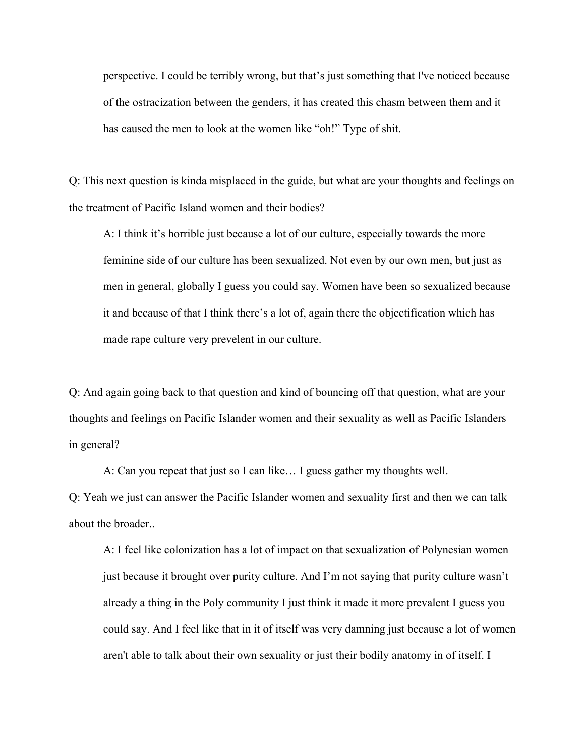perspective. I could be terribly wrong, but that's just something that I've noticed because of the ostracization between the genders, it has created this chasm between them and it has caused the men to look at the women like "oh!" Type of shit.

Q: This next question is kinda misplaced in the guide, but what are your thoughts and feelings on the treatment of Pacific Island women and their bodies?

A: I think it's horrible just because a lot of our culture, especially towards the more feminine side of our culture has been sexualized. Not even by our own men, but just as men in general, globally I guess you could say. Women have been so sexualized because it and because of that I think there's a lot of, again there the objectification which has made rape culture very prevelent in our culture.

Q: And again going back to that question and kind of bouncing off that question, what are your thoughts and feelings on Pacific Islander women and their sexuality as well as Pacific Islanders in general?

A: Can you repeat that just so I can like… I guess gather my thoughts well.

Q: Yeah we just can answer the Pacific Islander women and sexuality first and then we can talk about the broader..

A: I feel like colonization has a lot of impact on that sexualization of Polynesian women just because it brought over purity culture. And I'm not saying that purity culture wasn't already a thing in the Poly community I just think it made it more prevalent I guess you could say. And I feel like that in it of itself was very damning just because a lot of women aren't able to talk about their own sexuality or just their bodily anatomy in of itself. I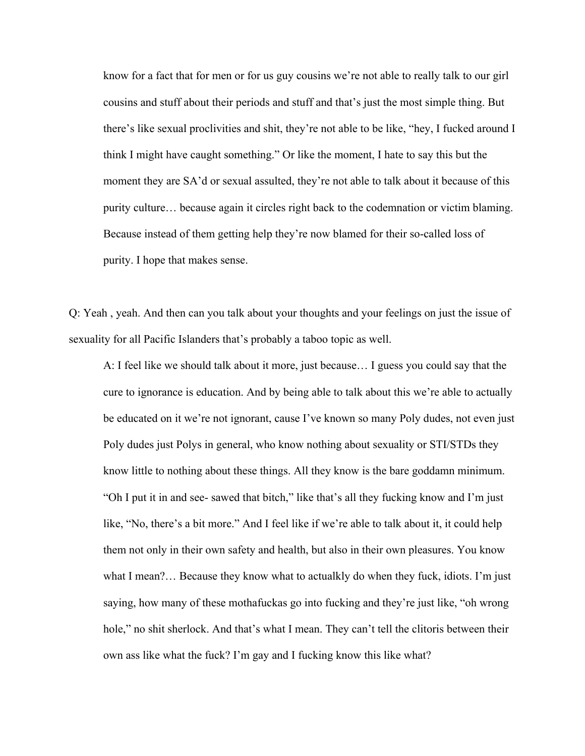know for a fact that for men or for us guy cousins we're not able to really talk to our girl cousins and stuff about their periods and stuff and that's just the most simple thing. But there's like sexual proclivities and shit, they're not able to be like, "hey, I fucked around I think I might have caught something." Or like the moment, I hate to say this but the moment they are SA'd or sexual assulted, they're not able to talk about it because of this purity culture… because again it circles right back to the codemnation or victim blaming. Because instead of them getting help they're now blamed for their so-called loss of purity. I hope that makes sense.

Q: Yeah , yeah. And then can you talk about your thoughts and your feelings on just the issue of sexuality for all Pacific Islanders that's probably a taboo topic as well.

A: I feel like we should talk about it more, just because… I guess you could say that the cure to ignorance is education. And by being able to talk about this we're able to actually be educated on it we're not ignorant, cause I've known so many Poly dudes, not even just Poly dudes just Polys in general, who know nothing about sexuality or STI/STDs they know little to nothing about these things. All they know is the bare goddamn minimum. "Oh I put it in and see- sawed that bitch," like that's all they fucking know and I'm just like, "No, there's a bit more." And I feel like if we're able to talk about it, it could help them not only in their own safety and health, but also in their own pleasures. You know what I mean?... Because they know what to actualkly do when they fuck, idiots. I'm just saying, how many of these mothafuckas go into fucking and they're just like, "oh wrong hole," no shit sherlock. And that's what I mean. They can't tell the clitoris between their own ass like what the fuck? I'm gay and I fucking know this like what?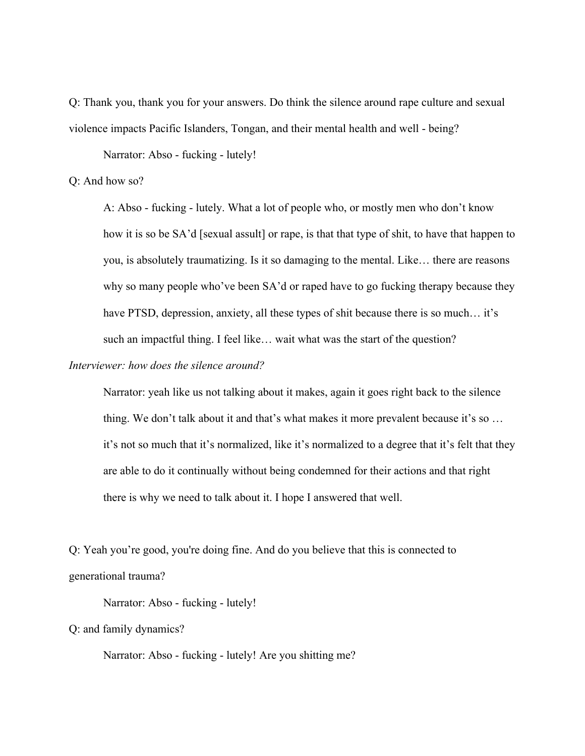Q: Thank you, thank you for your answers. Do think the silence around rape culture and sexual violence impacts Pacific Islanders, Tongan, and their mental health and well - being?

Narrator: Abso - fucking - lutely!

# Q: And how so?

A: Abso - fucking - lutely. What a lot of people who, or mostly men who don't know how it is so be SA'd [sexual assult] or rape, is that that type of shit, to have that happen to you, is absolutely traumatizing. Is it so damaging to the mental. Like… there are reasons why so many people who've been SA'd or raped have to go fucking therapy because they have PTSD, depression, anxiety, all these types of shit because there is so much... it's such an impactful thing. I feel like… wait what was the start of the question?

# *Interviewer: how does the silence around?*

Narrator: yeah like us not talking about it makes, again it goes right back to the silence thing. We don't talk about it and that's what makes it more prevalent because it's so … it's not so much that it's normalized, like it's normalized to a degree that it's felt that they are able to do it continually without being condemned for their actions and that right there is why we need to talk about it. I hope I answered that well.

Q: Yeah you're good, you're doing fine. And do you believe that this is connected to generational trauma?

Narrator: Abso - fucking - lutely!

Q: and family dynamics?

Narrator: Abso - fucking - lutely! Are you shitting me?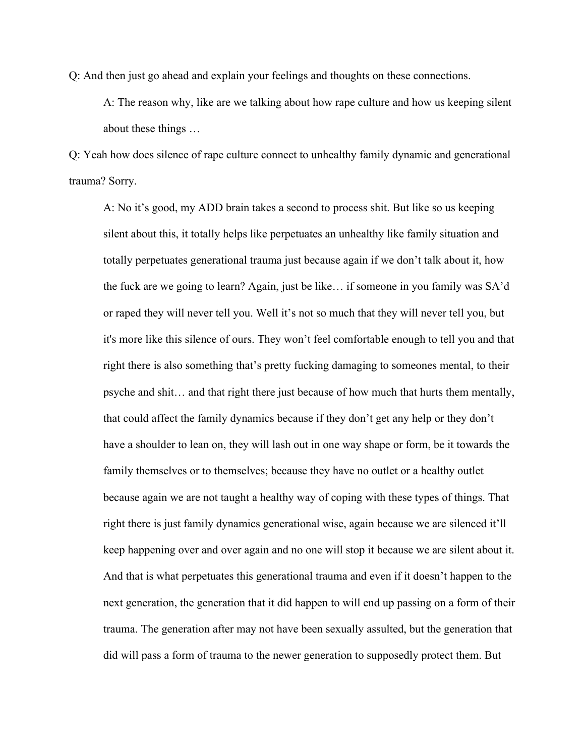Q: And then just go ahead and explain your feelings and thoughts on these connections.

A: The reason why, like are we talking about how rape culture and how us keeping silent about these things …

Q: Yeah how does silence of rape culture connect to unhealthy family dynamic and generational trauma? Sorry.

A: No it's good, my ADD brain takes a second to process shit. But like so us keeping silent about this, it totally helps like perpetuates an unhealthy like family situation and totally perpetuates generational trauma just because again if we don't talk about it, how the fuck are we going to learn? Again, just be like… if someone in you family was SA'd or raped they will never tell you. Well it's not so much that they will never tell you, but it's more like this silence of ours. They won't feel comfortable enough to tell you and that right there is also something that's pretty fucking damaging to someones mental, to their psyche and shit… and that right there just because of how much that hurts them mentally, that could affect the family dynamics because if they don't get any help or they don't have a shoulder to lean on, they will lash out in one way shape or form, be it towards the family themselves or to themselves; because they have no outlet or a healthy outlet because again we are not taught a healthy way of coping with these types of things. That right there is just family dynamics generational wise, again because we are silenced it'll keep happening over and over again and no one will stop it because we are silent about it. And that is what perpetuates this generational trauma and even if it doesn't happen to the next generation, the generation that it did happen to will end up passing on a form of their trauma. The generation after may not have been sexually assulted, but the generation that did will pass a form of trauma to the newer generation to supposedly protect them. But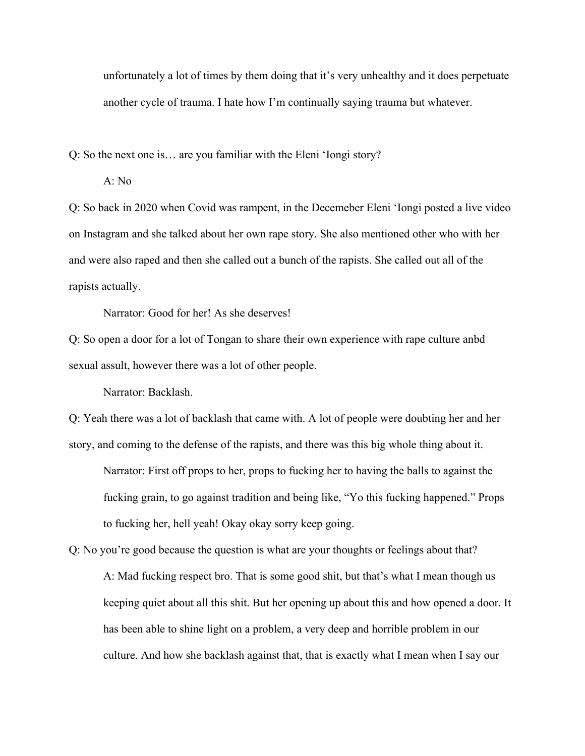unfortunately a lot of times by them doing that it's very unhealthy and it does perpetuate another cycle of trauma. I hate how I'm continually saying trauma but whatever.

Q: So the next one is… are you familiar with the Eleni 'Iongi story?

A: No

Q: So back in 2020 when Covid was rampent, in the Decemeber Eleni 'Iongi posted a live video on Instagram and she talked about her own rape story. She also mentioned other who with her and were also raped and then she called out a bunch of the rapists. She called out all of the rapists actually.

Narrator: Good for her! As she deserves!

Q: So open a door for a lot of Tongan to share their own experience with rape culture anbd sexual assult, however there was a lot of other people.

Narrator: Backlash.

Q: Yeah there was a lot of backlash that came with. A lot of people were doubting her and her story, and coming to the defense of the rapists, and there was this big whole thing about it.

Narrator: First off props to her, props to fucking her to having the balls to against the fucking grain, to go against tradition and being like, "Yo this fucking happened." Props to fucking her, hell yeah! Okay okay sorry keep going.

Q: No you're good because the question is what are your thoughts or feelings about that? A: Mad fucking respect bro. That is some good shit, but that's what I mean though us keeping quiet about all this shit. But her opening up about this and how opened a door. It has been able to shine light on a problem, a very deep and horrible problem in our culture. And how she backlash against that, that is exactly what I mean when I say our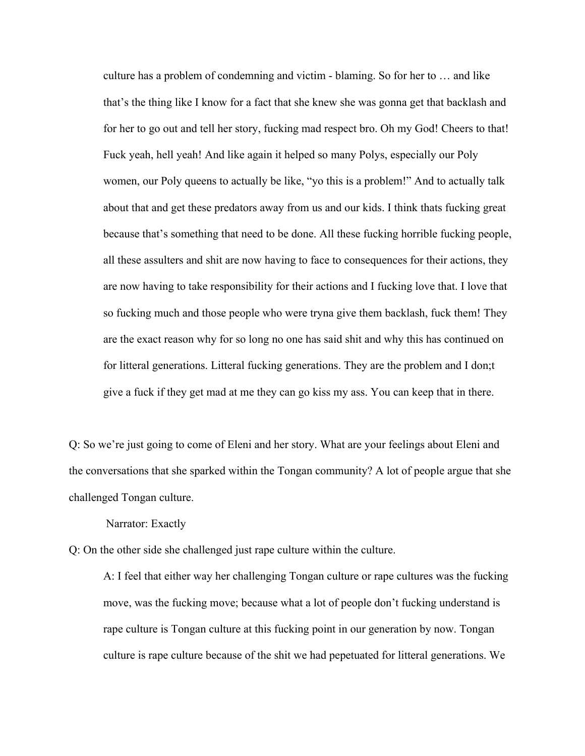culture has a problem of condemning and victim - blaming. So for her to … and like that's the thing like I know for a fact that she knew she was gonna get that backlash and for her to go out and tell her story, fucking mad respect bro. Oh my God! Cheers to that! Fuck yeah, hell yeah! And like again it helped so many Polys, especially our Poly women, our Poly queens to actually be like, "yo this is a problem!" And to actually talk about that and get these predators away from us and our kids. I think thats fucking great because that's something that need to be done. All these fucking horrible fucking people, all these assulters and shit are now having to face to consequences for their actions, they are now having to take responsibility for their actions and I fucking love that. I love that so fucking much and those people who were tryna give them backlash, fuck them! They are the exact reason why for so long no one has said shit and why this has continued on for litteral generations. Litteral fucking generations. They are the problem and I don;t give a fuck if they get mad at me they can go kiss my ass. You can keep that in there.

Q: So we're just going to come of Eleni and her story. What are your feelings about Eleni and the conversations that she sparked within the Tongan community? A lot of people argue that she challenged Tongan culture.

Narrator: Exactly

Q: On the other side she challenged just rape culture within the culture.

A: I feel that either way her challenging Tongan culture or rape cultures was the fucking move, was the fucking move; because what a lot of people don't fucking understand is rape culture is Tongan culture at this fucking point in our generation by now. Tongan culture is rape culture because of the shit we had pepetuated for litteral generations. We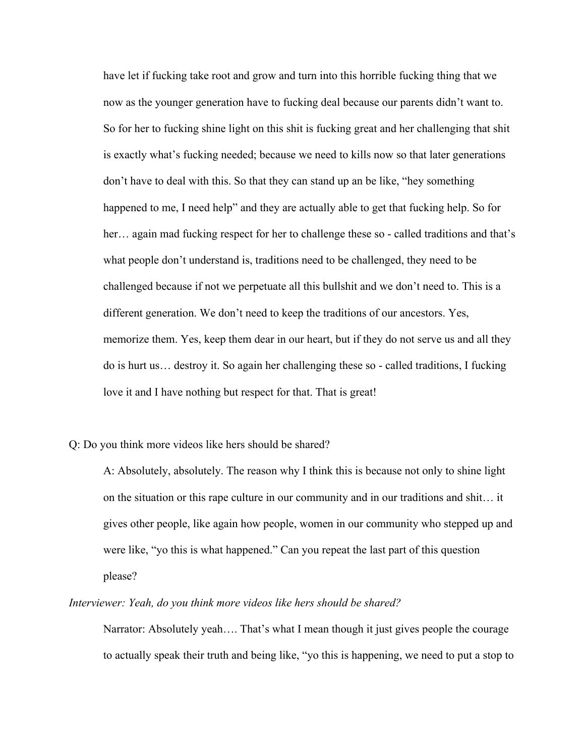have let if fucking take root and grow and turn into this horrible fucking thing that we now as the younger generation have to fucking deal because our parents didn't want to. So for her to fucking shine light on this shit is fucking great and her challenging that shit is exactly what's fucking needed; because we need to kills now so that later generations don't have to deal with this. So that they can stand up an be like, "hey something happened to me, I need help" and they are actually able to get that fucking help. So for her... again mad fucking respect for her to challenge these so - called traditions and that's what people don't understand is, traditions need to be challenged, they need to be challenged because if not we perpetuate all this bullshit and we don't need to. This is a different generation. We don't need to keep the traditions of our ancestors. Yes, memorize them. Yes, keep them dear in our heart, but if they do not serve us and all they do is hurt us… destroy it. So again her challenging these so - called traditions, I fucking love it and I have nothing but respect for that. That is great!

## Q: Do you think more videos like hers should be shared?

A: Absolutely, absolutely. The reason why I think this is because not only to shine light on the situation or this rape culture in our community and in our traditions and shit… it gives other people, like again how people, women in our community who stepped up and were like, "yo this is what happened." Can you repeat the last part of this question please?

#### *Interviewer: Yeah, do you think more videos like hers should be shared?*

Narrator: Absolutely yeah…. That's what I mean though it just gives people the courage to actually speak their truth and being like, "yo this is happening, we need to put a stop to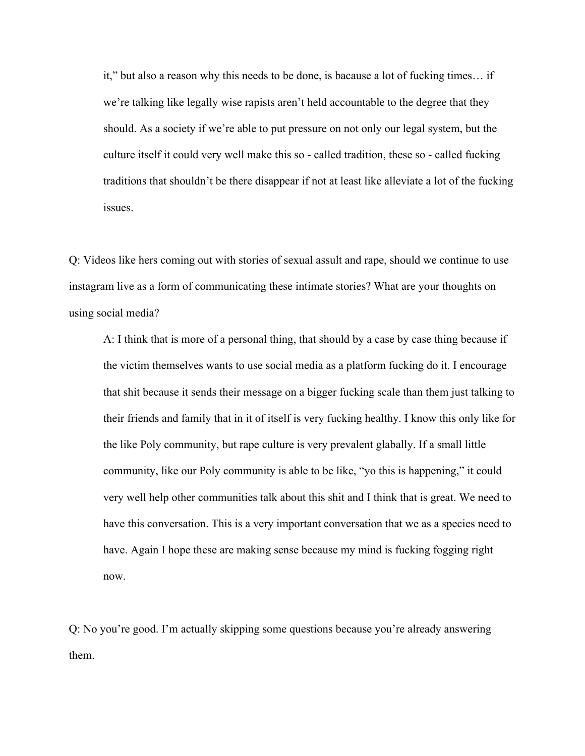it," but also a reason why this needs to be done, is bacause a lot of fucking times… if we're talking like legally wise rapists aren't held accountable to the degree that they should. As a society if we're able to put pressure on not only our legal system, but the culture itself it could very well make this so - called tradition, these so - called fucking traditions that shouldn't be there disappear if not at least like alleviate a lot of the fucking issues.

Q: Videos like hers coming out with stories of sexual assult and rape, should we continue to use instagram live as a form of communicating these intimate stories? What are your thoughts on using social media?

A: I think that is more of a personal thing, that should by a case by case thing because if the victim themselves wants to use social media as a platform fucking do it. I encourage that shit because it sends their message on a bigger fucking scale than them just talking to their friends and family that in it of itself is very fucking healthy. I know this only like for the like Poly community, but rape culture is very prevalent glabally. If a small little community, like our Poly community is able to be like, "yo this is happening," it could very well help other communities talk about this shit and I think that is great. We need to have this conversation. This is a very important conversation that we as a species need to have. Again I hope these are making sense because my mind is fucking fogging right now.

Q: No you're good. I'm actually skipping some questions because you're already answering them.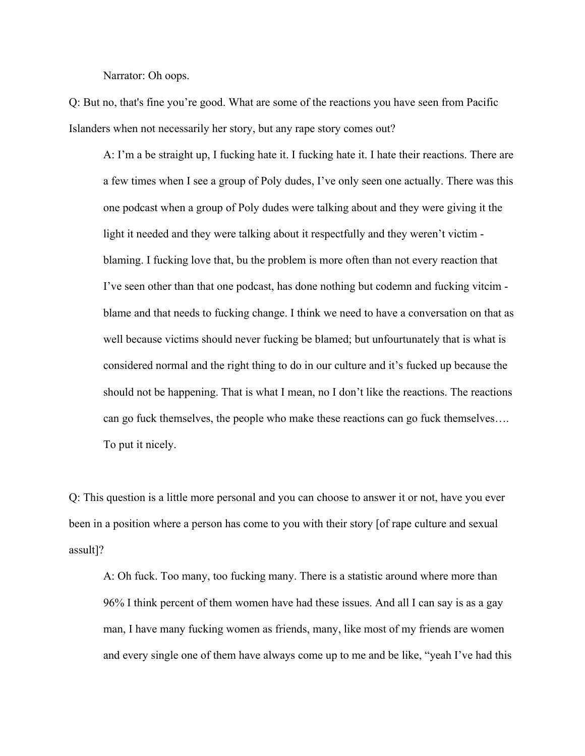Narrator: Oh oops.

Q: But no, that's fine you're good. What are some of the reactions you have seen from Pacific Islanders when not necessarily her story, but any rape story comes out?

A: I'm a be straight up, I fucking hate it. I fucking hate it. I hate their reactions. There are a few times when I see a group of Poly dudes, I've only seen one actually. There was this one podcast when a group of Poly dudes were talking about and they were giving it the light it needed and they were talking about it respectfully and they weren't victim blaming. I fucking love that, bu the problem is more often than not every reaction that I've seen other than that one podcast, has done nothing but codemn and fucking vitcim blame and that needs to fucking change. I think we need to have a conversation on that as well because victims should never fucking be blamed; but unfourtunately that is what is considered normal and the right thing to do in our culture and it's fucked up because the should not be happening. That is what I mean, no I don't like the reactions. The reactions can go fuck themselves, the people who make these reactions can go fuck themselves…. To put it nicely.

Q: This question is a little more personal and you can choose to answer it or not, have you ever been in a position where a person has come to you with their story [of rape culture and sexual assult]?

A: Oh fuck. Too many, too fucking many. There is a statistic around where more than 96% I think percent of them women have had these issues. And all I can say is as a gay man, I have many fucking women as friends, many, like most of my friends are women and every single one of them have always come up to me and be like, "yeah I've had this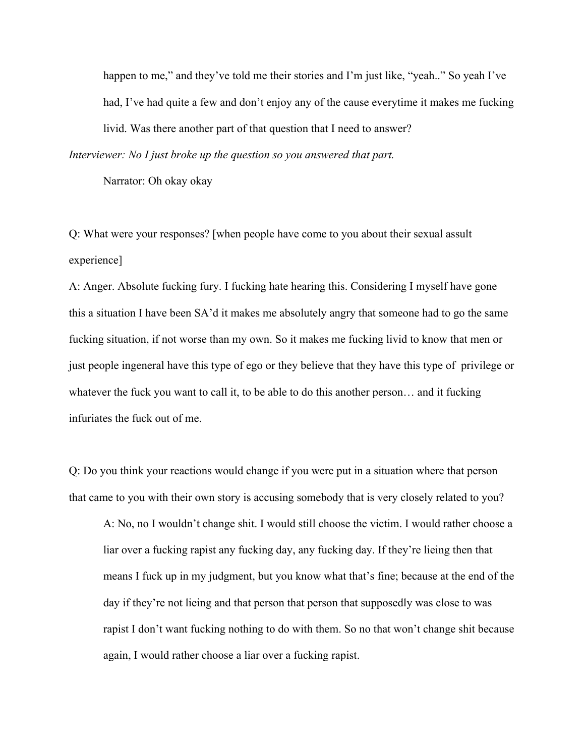happen to me," and they've told me their stories and I'm just like, "yeah.." So yeah I've had, I've had quite a few and don't enjoy any of the cause everytime it makes me fucking livid. Was there another part of that question that I need to answer? *Interviewer: No I just broke up the question so you answered that part.*

Narrator: Oh okay okay

Q: What were your responses? [when people have come to you about their sexual assult experience]

A: Anger. Absolute fucking fury. I fucking hate hearing this. Considering I myself have gone this a situation I have been SA'd it makes me absolutely angry that someone had to go the same fucking situation, if not worse than my own. So it makes me fucking livid to know that men or just people ingeneral have this type of ego or they believe that they have this type of privilege or whatever the fuck you want to call it, to be able to do this another person… and it fucking infuriates the fuck out of me.

Q: Do you think your reactions would change if you were put in a situation where that person that came to you with their own story is accusing somebody that is very closely related to you?

A: No, no I wouldn't change shit. I would still choose the victim. I would rather choose a liar over a fucking rapist any fucking day, any fucking day. If they're lieing then that means I fuck up in my judgment, but you know what that's fine; because at the end of the day if they're not lieing and that person that person that supposedly was close to was rapist I don't want fucking nothing to do with them. So no that won't change shit because again, I would rather choose a liar over a fucking rapist.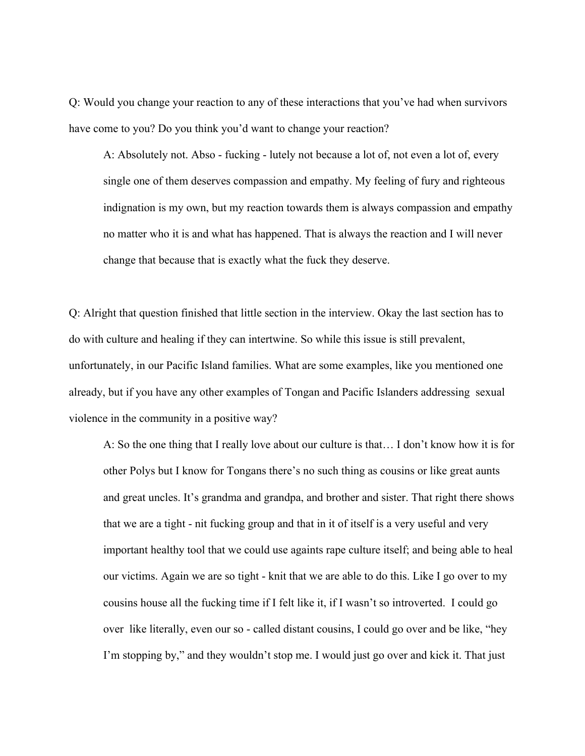Q: Would you change your reaction to any of these interactions that you've had when survivors have come to you? Do you think you'd want to change your reaction?

A: Absolutely not. Abso - fucking - lutely not because a lot of, not even a lot of, every single one of them deserves compassion and empathy. My feeling of fury and righteous indignation is my own, but my reaction towards them is always compassion and empathy no matter who it is and what has happened. That is always the reaction and I will never change that because that is exactly what the fuck they deserve.

Q: Alright that question finished that little section in the interview. Okay the last section has to do with culture and healing if they can intertwine. So while this issue is still prevalent, unfortunately, in our Pacific Island families. What are some examples, like you mentioned one already, but if you have any other examples of Tongan and Pacific Islanders addressing sexual violence in the community in a positive way?

A: So the one thing that I really love about our culture is that… I don't know how it is for other Polys but I know for Tongans there's no such thing as cousins or like great aunts and great uncles. It's grandma and grandpa, and brother and sister. That right there shows that we are a tight - nit fucking group and that in it of itself is a very useful and very important healthy tool that we could use againts rape culture itself; and being able to heal our victims. Again we are so tight - knit that we are able to do this. Like I go over to my cousins house all the fucking time if I felt like it, if I wasn't so introverted. I could go over like literally, even our so - called distant cousins, I could go over and be like, "hey I'm stopping by," and they wouldn't stop me. I would just go over and kick it. That just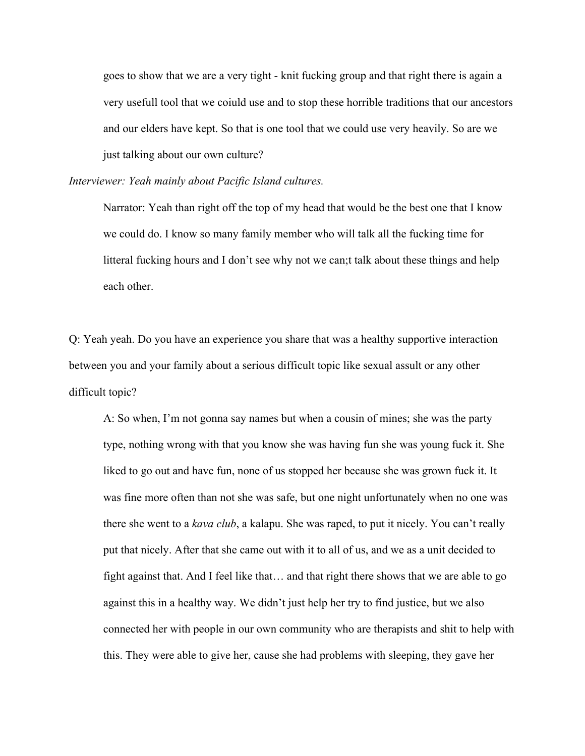goes to show that we are a very tight - knit fucking group and that right there is again a very usefull tool that we coiuld use and to stop these horrible traditions that our ancestors and our elders have kept. So that is one tool that we could use very heavily. So are we just talking about our own culture?

*Interviewer: Yeah mainly about Pacific Island cultures.*

Narrator: Yeah than right off the top of my head that would be the best one that I know we could do. I know so many family member who will talk all the fucking time for litteral fucking hours and I don't see why not we can;t talk about these things and help each other.

Q: Yeah yeah. Do you have an experience you share that was a healthy supportive interaction between you and your family about a serious difficult topic like sexual assult or any other difficult topic?

A: So when, I'm not gonna say names but when a cousin of mines; she was the party type, nothing wrong with that you know she was having fun she was young fuck it. She liked to go out and have fun, none of us stopped her because she was grown fuck it. It was fine more often than not she was safe, but one night unfortunately when no one was there she went to a *kava club*, a kalapu. She was raped, to put it nicely. You can't really put that nicely. After that she came out with it to all of us, and we as a unit decided to fight against that. And I feel like that… and that right there shows that we are able to go against this in a healthy way. We didn't just help her try to find justice, but we also connected her with people in our own community who are therapists and shit to help with this. They were able to give her, cause she had problems with sleeping, they gave her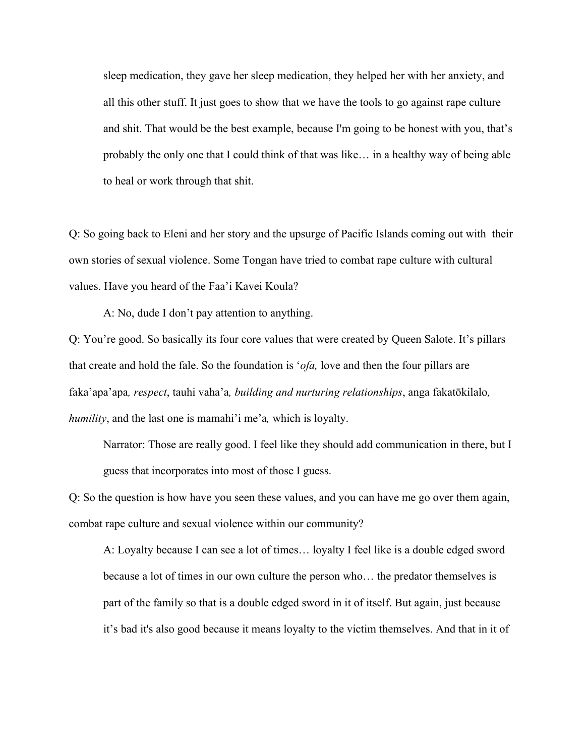sleep medication, they gave her sleep medication, they helped her with her anxiety, and all this other stuff. It just goes to show that we have the tools to go against rape culture and shit. That would be the best example, because I'm going to be honest with you, that's probably the only one that I could think of that was like… in a healthy way of being able to heal or work through that shit.

Q: So going back to Eleni and her story and the upsurge of Pacific Islands coming out with their own stories of sexual violence. Some Tongan have tried to combat rape culture with cultural values. Have you heard of the Faa'i Kavei Koula?

A: No, dude I don't pay attention to anything.

Q: You're good. So basically its four core values that were created by Queen Salote. It's pillars that create and hold the fale. So the foundation is '*ofa,* love and then the four pillars are faka'apa'apa*, respect*, tauhi vaha'a*, building and nurturing relationships*, anga fakatōkilalo*, humility*, and the last one is mamahi'i me'a*,* which is loyalty.

Narrator: Those are really good. I feel like they should add communication in there, but I guess that incorporates into most of those I guess.

Q: So the question is how have you seen these values, and you can have me go over them again, combat rape culture and sexual violence within our community?

A: Loyalty because I can see a lot of times… loyalty I feel like is a double edged sword because a lot of times in our own culture the person who… the predator themselves is part of the family so that is a double edged sword in it of itself. But again, just because it's bad it's also good because it means loyalty to the victim themselves. And that in it of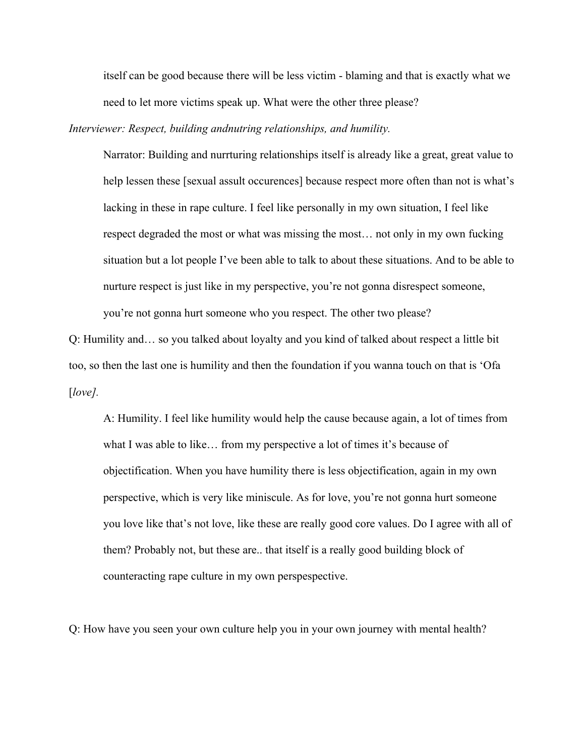itself can be good because there will be less victim - blaming and that is exactly what we need to let more victims speak up. What were the other three please?

*Interviewer: Respect, building andnutring relationships, and humility.*

Narrator: Building and nurrturing relationships itself is already like a great, great value to help lessen these [sexual assult occurences] because respect more often than not is what's lacking in these in rape culture. I feel like personally in my own situation, I feel like respect degraded the most or what was missing the most… not only in my own fucking situation but a lot people I've been able to talk to about these situations. And to be able to nurture respect is just like in my perspective, you're not gonna disrespect someone, you're not gonna hurt someone who you respect. The other two please?

Q: Humility and… so you talked about loyalty and you kind of talked about respect a little bit too, so then the last one is humility and then the foundation if you wanna touch on that is 'Ofa [*love].* 

A: Humility. I feel like humility would help the cause because again, a lot of times from what I was able to like… from my perspective a lot of times it's because of objectification. When you have humility there is less objectification, again in my own perspective, which is very like miniscule. As for love, you're not gonna hurt someone you love like that's not love, like these are really good core values. Do I agree with all of them? Probably not, but these are.. that itself is a really good building block of counteracting rape culture in my own perspespective.

Q: How have you seen your own culture help you in your own journey with mental health?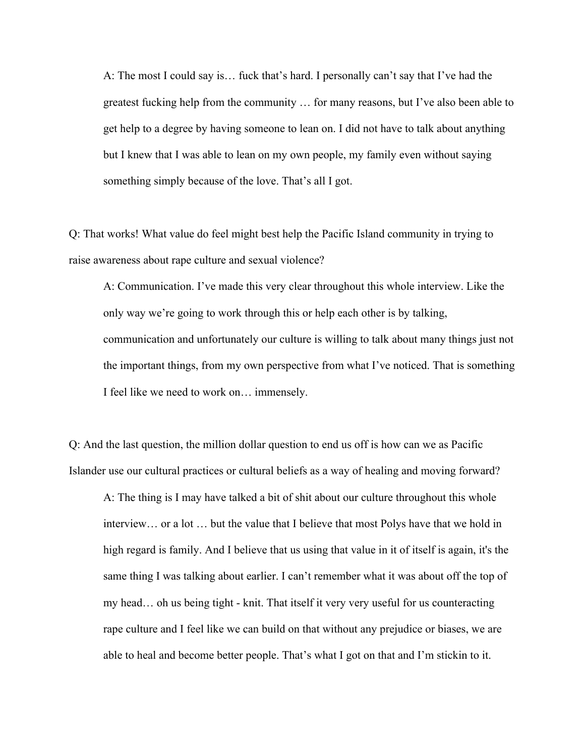A: The most I could say is… fuck that's hard. I personally can't say that I've had the greatest fucking help from the community … for many reasons, but I've also been able to get help to a degree by having someone to lean on. I did not have to talk about anything but I knew that I was able to lean on my own people, my family even without saying something simply because of the love. That's all I got.

Q: That works! What value do feel might best help the Pacific Island community in trying to raise awareness about rape culture and sexual violence?

A: Communication. I've made this very clear throughout this whole interview. Like the only way we're going to work through this or help each other is by talking, communication and unfortunately our culture is willing to talk about many things just not the important things, from my own perspective from what I've noticed. That is something I feel like we need to work on… immensely.

Q: And the last question, the million dollar question to end us off is how can we as Pacific Islander use our cultural practices or cultural beliefs as a way of healing and moving forward?

A: The thing is I may have talked a bit of shit about our culture throughout this whole interview… or a lot … but the value that I believe that most Polys have that we hold in high regard is family. And I believe that us using that value in it of itself is again, it's the same thing I was talking about earlier. I can't remember what it was about off the top of my head… oh us being tight - knit. That itself it very very useful for us counteracting rape culture and I feel like we can build on that without any prejudice or biases, we are able to heal and become better people. That's what I got on that and I'm stickin to it.